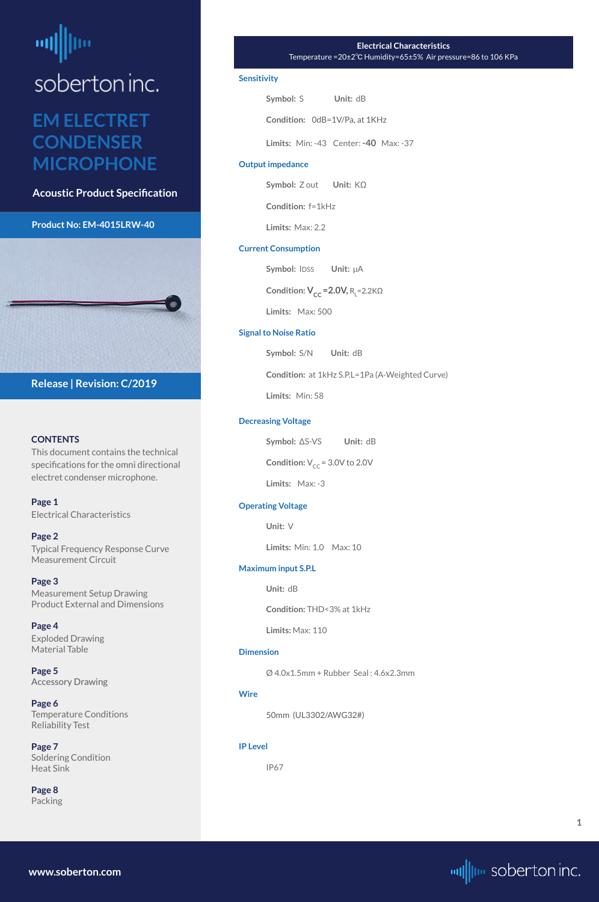# <span id="page-0-0"></span>┉

### soberton inc.

### **EM ELECTRET CONDENSER MICROPHONE**

**Acoustic Product Specification**

### **Product No: EM-4015LRW-40**



### **CONTENTS**

This document contains the technical specifications for the omni directional electret condenser microphone.

**Page 1** Electrical Characteristics

**[Page 2](#page-1-0)** [Typical Frequency Response Curve](#page-1-0) [Measurement Circuit](#page-1-0)

**[Page 3](#page-2-0)** [Measurement Setup Drawing](#page-2-0) [Product External and Dimensions](#page-2-0)

**[Page 4](#page-3-0)** [Exploded Drawing](#page-3-0)  [Material Table](#page-3-0)

**[Page 5](#page-4-0)**

[Accessory Drawing](#page-4-0)

**[Page 6](#page-5-0)** [Temperature Conditions](#page-5-0) [Reliability Test](#page-5-0)

**[Page 7](#page-6-0)** [Soldering Condition](#page-6-0) [Heat Sink](#page-6-0)

**[Page 8](#page-7-0)** [Packing](#page-7-0)

**Release | Revision: C/2019**

**[www.soberton.com](http://www.soberton.com)**



**1**

#### **Electrical Characteristics**  Temperature =20±2℃ Humidity=65±5% Air pressure=86 to 106 KPa

### **Sensitivity**

| Symbol: S | Unit: dB                             |
|-----------|--------------------------------------|
|           | <b>Condition:</b> OdB=1V/Pa, at 1KHz |

**Limits:** Min: -43 Center: **-40** Max: -37

### **Output impedance**

**Symbol:** Z out **Unit:** KΩ

**Condition:** f=1kHz

**Limits:** Max: 2.2

### **Current Consumption**

**Symbol: IDSS Unit:**  $\mu$ A **Condition:**  $V_{CC} = 2.0V$ **, R<sub>L</sub>=2.2KΩ** 

**Limits:** Max: 500

### **Signal to Noise Ratio**

**Symbol:** S/N **Unit:** dB

**Condition:** at 1kHz S.P.L=1Pa (A-Weighted Curve)

**Limits:** Min: 58

### **Decreasing Voltage**

**Symbol:** ΔS-VS **Unit:** dB

**Condition:**  $V_{CC}$  = 3.0V to 2.0V

**Limits:** Max: -3

### **Operating Voltage**

**Unit:** V

**Limits:** Min: 1.0 Max: 10

### **Maximum input S.P.L**

**Unit:** dB

**Condition:** THD<3% at 1kHz

**Limits:** Max: 110

#### **Dimension**

Ø 4.0x1.5mm + Rubber Seal : 4.6x2.3mm

**Wire**

50mm (UL3302/AWG32#)

**IP Level**

IP67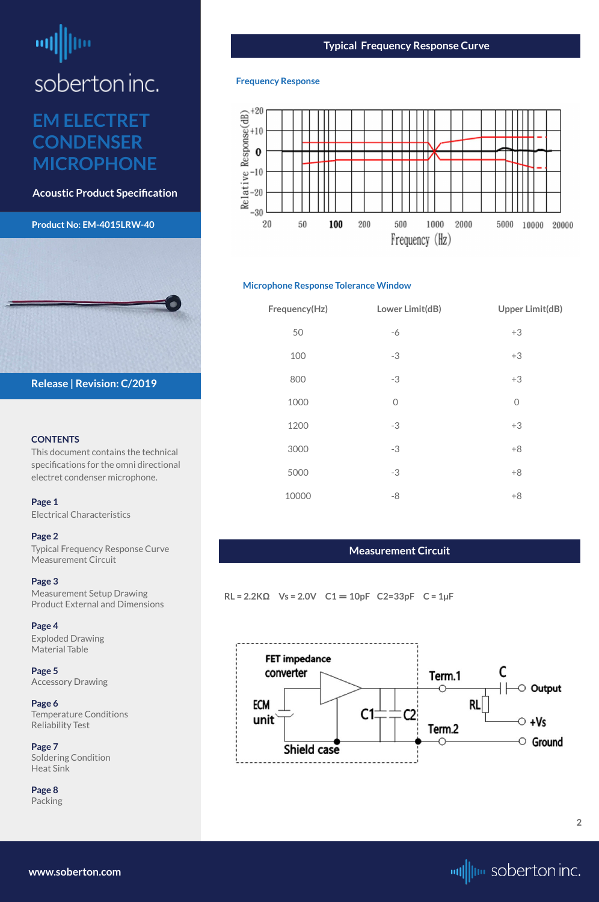# <span id="page-1-0"></span>뻬

soberton inc.

### **EM ELECTRET CONDENSER MICROPHONE**

**Acoustic Product Specification**

**Product No: EM-4015LRW-40**

### **CONTENTS**

This document contains the technical specifications for the omni directional electret condenser microphone.

**[Page 1](#page-0-0)** [Electrical Characteris](#page-0-0)tics

### **Page 2**

Typical Frequency Response Curve Measurement Circuit

### **[Page 3](#page-2-0)**

[Measurement Setup Drawing](#page-2-0) [Product External and Dimensions](#page-2-0)

### **[Page 4](#page-3-0)**

[Exploded Drawing](#page-3-0)  [Material Table](#page-3-0)

**[Page 5](#page-4-0)**

[Accessory Drawing](#page-4-0)

**[Page 6](#page-5-0)** [Temperature Conditions](#page-5-0) [Reliability Test](#page-5-0)

**[Page 7](#page-6-0)** [Soldering Condition](#page-6-0) [Heat Sink](#page-6-0)

**[Page 8](#page-7-0)** [Packing](#page-7-0)



**[www.soberton.com](http://www.soberton.com)**



**2**

### **Typical Frequency Response Curve**

### **Frequency Response**



### **Microphone Response Tolerance Window**

| Frequency(Hz) | Lower Limit(dB) | <b>Upper Limit(dB)</b> |
|---------------|-----------------|------------------------|
| 50            | $-6$            | $+3$                   |
| 100           | $-3$            | $+3$                   |
| 800           | $-3$            | $+3$                   |
| 1000          | $\overline{0}$  | $\overline{O}$         |
| 1200          | $-3$            | $+3$                   |
| 3000          | $-3$            | $+8$                   |
| 5000          | $-3$            | $+8$                   |
| 10000         | -8              | $+8$                   |

### **Measurement Circuit**

**RL = 2.2KΩ Vs = 2.0V C1** = **10pF C2=33pF C = 1µF**

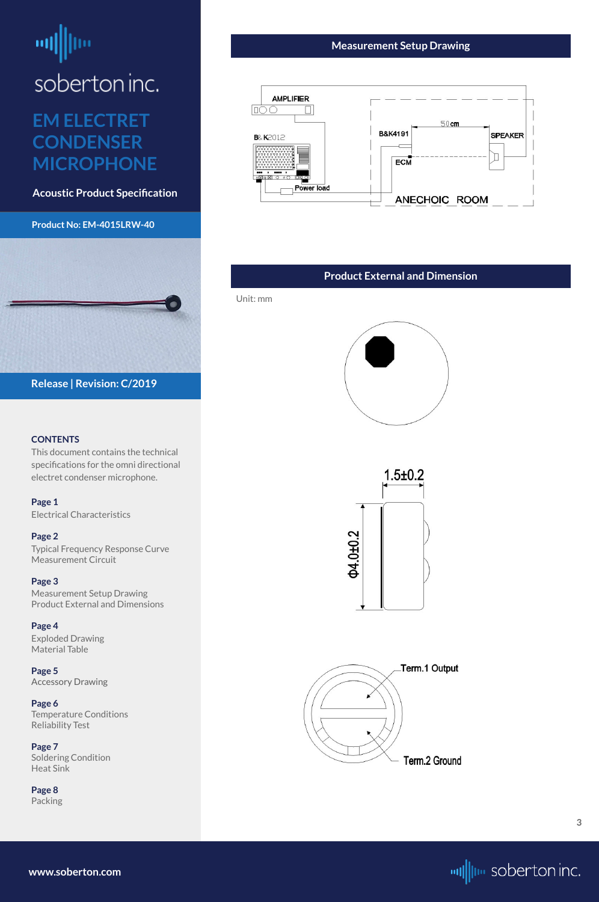# <span id="page-2-0"></span>ᆒ

soberton inc.

### **EM ELECTRET CONDENSER MICROPHONE**

**Acoustic Product Specification**

### **Product No: EM-4015LRW-40**

### **CONTENTS**

This document contains the technical specifications for the omni directional electret condenser microphone.

**[Page 1](#page-0-0)** [Electrical Characteris](#page-0-0)tics

### **[Page 2](#page-1-0)**

[Typical Frequency Response Curve](#page-1-0) [Measurement Circuit](#page-1-0)

### **Page 3**

Measurement Setup Drawing Product External and Dimensions

### **[Page 4](#page-3-0)**

[Exploded Drawing](#page-3-0)  [Material Table](#page-3-0)

### **[Page 5](#page-4-0)**

[Accessory Drawing](#page-4-0)

**[Page 6](#page-5-0)** [Temperature Conditions](#page-5-0) [Reliability Test](#page-5-0)

**[Page 7](#page-6-0)** [Soldering Condition](#page-6-0) [Heat Sink](#page-6-0)

**[Page 8](#page-7-0)** [Packing](#page-7-0)





**[www.soberton.com](http://www.soberton.com)**



### **Measurement Setup Drawing**



### **Product External and Dimension**

Unit: mm





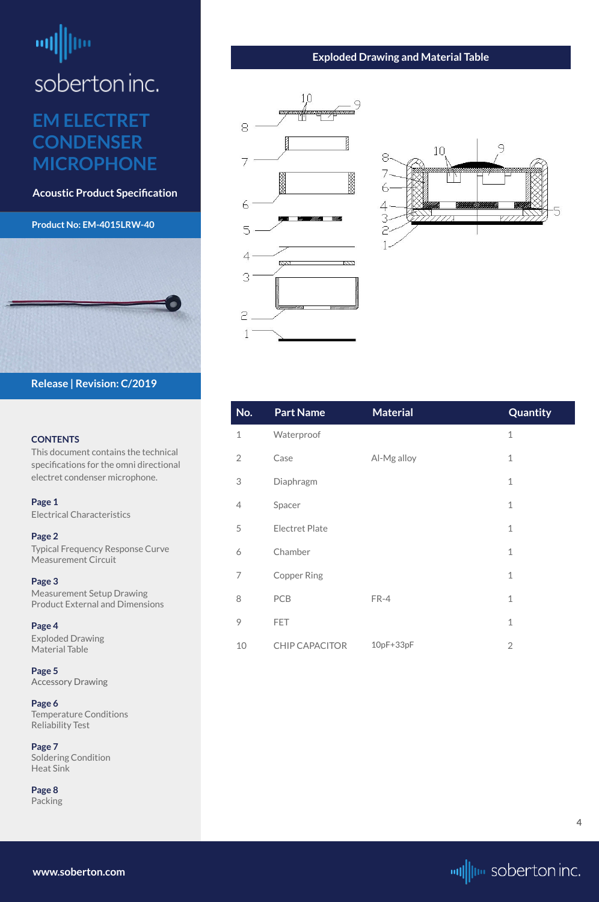# <span id="page-3-0"></span>шĮ

soberton inc.

### **EM ELECTRET CONDENSER MICROPHONE**

**Acoustic Product Specification**

### **Product No: EM-4015LRW-40**



### **CONTENTS**

This document contains the technical specifications for the omni directional electret condenser microphone.

**[Page 1](#page-0-0)** [Electrical Characteris](#page-0-0)tics

**[Page 2](#page-1-0)** [Typical Frequency Response Curve](#page-1-0) [Measurement Circuit](#page-1-0)

**[Page 3](#page-2-0)** [Measurement Setup Drawing](#page-2-0) [Product External and Dimensions](#page-2-0)

**Page 4** Exploded Drawing Material Table

**[Page 5](#page-4-0)** [Accessory Drawing](#page-4-0)

**[Page 6](#page-5-0)** [Temperature Conditions](#page-5-0) [Reliability Test](#page-5-0)

**[Page 7](#page-6-0)** [Soldering Condition](#page-6-0) [Heat Sink](#page-6-0)

**[Page 8](#page-7-0)** [Packing](#page-7-0)

**Release | Revision: C/2019**

**www.soberton.com**



| No.            | <b>Part Name</b>      | <b>Material</b> | Quantity       |
|----------------|-----------------------|-----------------|----------------|
| $\mathbf 1$    | Waterproof            |                 | $\mathbf 1$    |
| $\overline{2}$ | Case                  | Al-Mg alloy     | $\mathbf 1$    |
| 3              | Diaphragm             |                 | $\mathbf{1}$   |
| $\overline{4}$ | Spacer                |                 | $\mathbf{1}$   |
| 5              | <b>Electret Plate</b> |                 | $\mathbf 1$    |
| 6              | Chamber               |                 | $\mathbf{1}$   |
| 7              | <b>Copper Ring</b>    |                 | $\mathbf{1}$   |
| 8              | PCB                   | FR-4            | $\mathbf 1$    |
| 9              | <b>FET</b>            |                 | $\mathbf 1$    |
| 10             | <b>CHIP CAPACITOR</b> | $10pF+33pF$     | $\overline{2}$ |

### **Exploded Drawing and Material Table**





**4**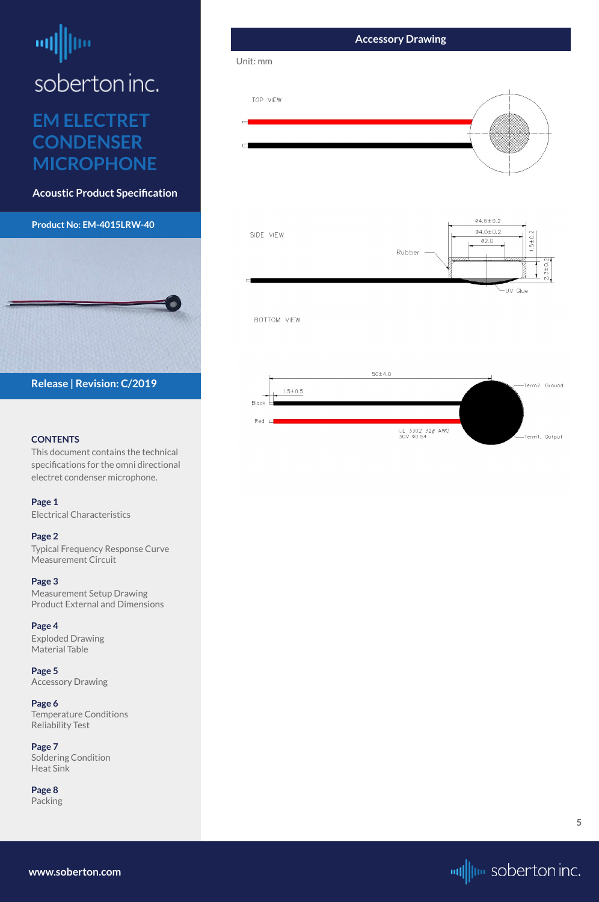## <span id="page-4-0"></span>шļ soberton inc.

### **EM ELECTRET CONDENSER MICROPHONE**

**Acoustic Product Specification**

### **Product No: EM-4015LRW-40**

### **CONTENTS**

This document contains the technical specifications for the omni directional electret condenser microphone.

**[Page 1](#page-0-0)**

[Electrical Characteris](#page-0-0)tics

### **[Page 2](#page-1-0)**

[Typical Frequency Response Curve](#page-1-0) [Measurement Circuit](#page-1-0)

### **Accessory Drawing** Unit: mmTOP VIEW  $\emptyset4,6 \pm 0.2$  $\emptyset4.0 \pm 0.2$ SIDE VIEW  $1.5 \pm 0.2$  $Ø2.0$ Rubber - $3\pm0$ . -UV Glue BOTTOM VIEW



### **[Page 3](#page-2-0)**

[Measurement Setup Drawing](#page-2-0) [Product External and Dimensions](#page-2-0)

### **[Page 4](#page-3-0)**

[Exploded Drawing](#page-3-0)  [Material Table](#page-3-0)

### **Page 5**

Accessory Drawing

**[Page 6](#page-5-0)** [Temperature Conditions](#page-5-0) [Reliability Test](#page-5-0)

**[Page 7](#page-6-0)** [Soldering Condition](#page-6-0) [Heat Sink](#page-6-0)

**[Page 8](#page-7-0)** [Packing](#page-7-0)



**[www.soberton.com](http://www.soberton.com)**

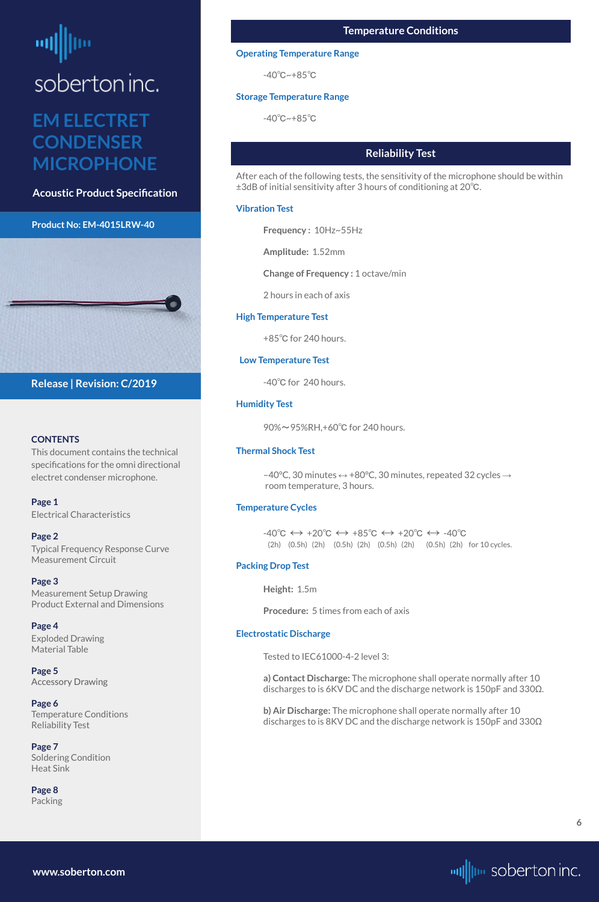# <span id="page-5-0"></span>soberton inc.

### **EM ELECTRET CONDENSER MICROPHONE**

**Acoustic Product Specification**

### **Product No: EM-4015LRW-40**



### **CONTENTS**

This document contains the technical specifications for the omni directional electret condenser microphone.

**[Page 1](#page-0-0)** [Electrical Characteris](#page-0-0)tics

### **[Page 2](#page-1-0)**

[Typical Frequency Response Curve](#page-1-0) [Measurement Circuit](#page-1-0)

### **[Page 3](#page-2-0)**

[Measurement Setup Drawing](#page-2-0) [Product External and Dimensions](#page-2-0)

### **[Page 4](#page-3-0)**

[Exploded Drawing](#page-3-0)  [Material Table](#page-3-0)

**[Page 5](#page-4-0)**

[Accessory Drawing](#page-4-0)

### **Page 6** Temperature Conditions Reliability Test

**[Page 7](#page-6-0)** [Soldering Condition](#page-6-0) [Heat Sink](#page-6-0)

**[Page 8](#page-7-0)** [Packing](#page-7-0)

**Release | Revision: C/2019**

**www.soberton.com**



### **Reliability Test**

 $-40^{\circ}C \leftrightarrow +20^{\circ}C \leftrightarrow +85^{\circ}C \leftrightarrow +20^{\circ}C \leftrightarrow -40^{\circ}C$ (2h) (0.5h) (2h) (0.5h) (2h) (0.5h) (2h) (0.5h) (2h) for 10 cycles.

After each of the following tests, the sensitivity of the microphone should be within ±3dB of initial sensitivity after 3 hours of conditioning at 20℃.

### **Vibration Test**

**Frequency :** 10Hz~55Hz

**Amplitude:** 1.52mm

**Change of Frequency :** 1 octave/min

2 hours in each of axis

### **High Temperature Test**

+85℃ for 240 hours.

### **Low Temperature Test**

-40℃ for 240 hours.

### **Humidity Test**

90%~95%RH,+60℃ for 240 hours.

### **Thermal Shock Test**

–40°C, 30 minutes ↔ +80°C, 30 minutes, repeated 32 cycles → room temperature, 3 hours.

### **Temperature Cycles**

### **Packing Drop Test**

**Height:** 1.5m

**Procedure:** 5 times from each of axis

### **Electrostatic Discharge**

Tested to IEC61000-4-2 level 3:

**a) Contact Discharge:** The microphone shall operate normally after 10

discharges to is 6KV DC and the discharge network is 150pF and 330Ω.

**b) Air Discharge:** The microphone shall operate normally after 10 discharges to is 8KV DC and the discharge network is 150pF and 330Ω

### **Temperature Conditions**

### **Operating Temperature Range**

-40℃~+85℃

### **Storage Temperature Range**

-40℃~+85℃

**6**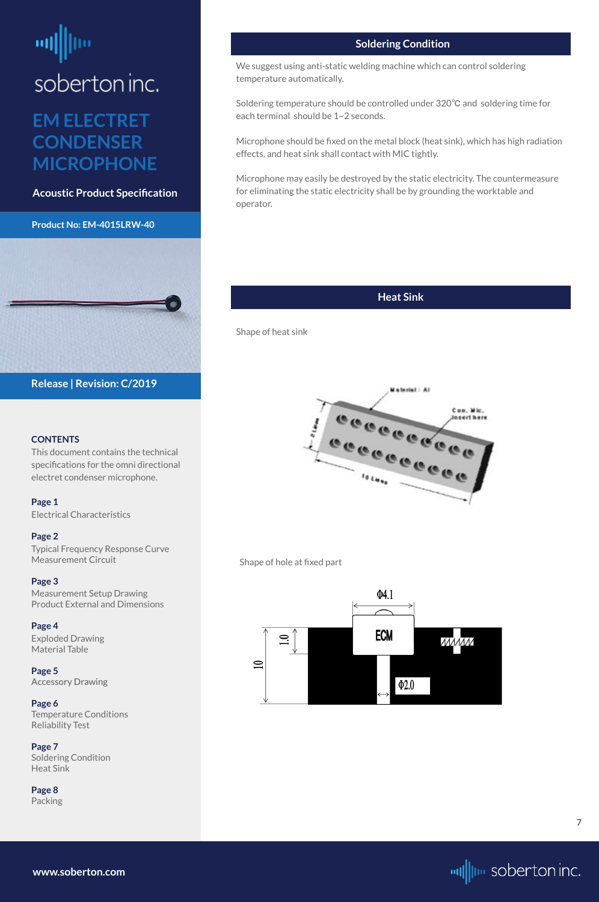# <span id="page-6-0"></span>soberton inc.

### **EM ELECTRET CONDENSER MICROPHONE**

**Acoustic Product Specification**

### **Product No: EM-4015LRW-40**



### **CONTENTS**

This document contains the technical specifications for the omni directional electret condenser microphone.

**[Page 1](#page-0-0)** [Electrical Characteris](#page-0-0)tics

### **[Page 2](#page-1-0)**

[Typical Frequency Response Curve](#page-1-0) [Measurement Circuit](#page-1-0)

### **[Page 3](#page-2-0)**

[Measurement Setup Drawing](#page-2-0) [Product External and Dimensions](#page-2-0)

### **[Page 4](#page-3-0)**

[Exploded Drawing](#page-3-0)  [Material Table](#page-3-0)

**[Page 5](#page-4-0)**

[Accessory Drawing](#page-4-0)

**[Page 6](#page-5-0)** [Temperature Conditions](#page-5-0) [Reliability Test](#page-5-0)

**Page 7** Soldering Condition Heat Sink

**[Page 8](#page-7-0)** [Packing](#page-7-0)

**Release | Revision: C/2019**

**www.soberton.com**



### **Soldering Condition**

We suggest using anti-static welding machine which can control soldering temperature automatically.

Soldering temperature should be controlled under 320℃ and soldering time for each terminal should be 1~2 seconds.

Microphone should be fixed on the metal block (heat sink), which has high radiation effects, and heat sink shall contact with MIC tightly.

Microphone may easily be destroyed by the static electricity. The countermeasure for eliminating the static electricity shall be by grounding the worktable and operator.

### **Heat Sink**

Shape of heat sink



Shape of hole at fixed part



**7**